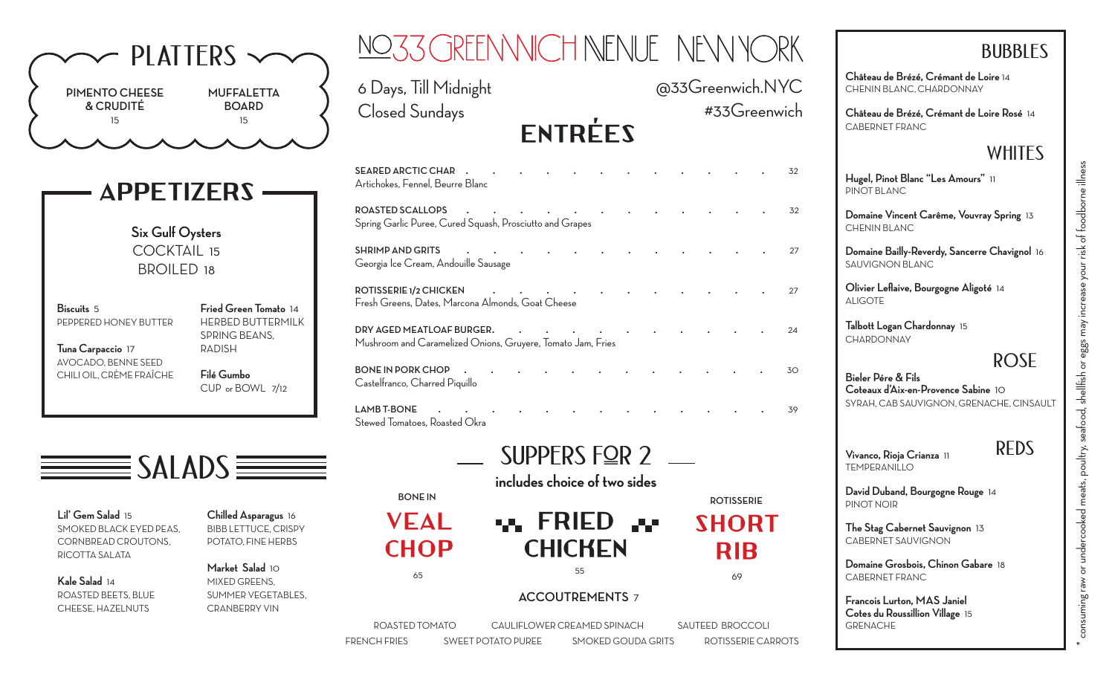| $\sim$ PLATTERS $\sim$                                                                                                                           | NO33 GREENNICH NENUE NEVNYORK                                                                                                                                                                                                                                                                                                  | <b>BUBBLES</b>                                                           |
|--------------------------------------------------------------------------------------------------------------------------------------------------|--------------------------------------------------------------------------------------------------------------------------------------------------------------------------------------------------------------------------------------------------------------------------------------------------------------------------------|--------------------------------------------------------------------------|
| <b>MUFFALETTA</b><br><b>PIMENTO CHEESE</b>                                                                                                       | @33Greenwich.NYC<br>6 Days, Till Midnight                                                                                                                                                                                                                                                                                      | Château de Brézé, Crémant de Loire 14<br>CHENIN BLANC, CHARDONNAY        |
| & CRUDITÉ<br><b>BOARD</b><br>15<br>15                                                                                                            | #33Greenwich<br><b>Closed Sundays</b>                                                                                                                                                                                                                                                                                          | Château de Brézé, Crémant de Loire Rosé 14<br>CABERNET FRANC             |
|                                                                                                                                                  | <b>ENTRÉES</b>                                                                                                                                                                                                                                                                                                                 | <b>WHITES</b>                                                            |
| <b>APPETIZERS</b>                                                                                                                                | SEARED ARCTIC CHAR .<br>32<br>Artichokes, Fennel, Beurre Blanc                                                                                                                                                                                                                                                                 | Hugel, Pinot Blanc "Les Amours" 11<br>PINOT BLANC                        |
| Six Gulf Oysters                                                                                                                                 | <b>ROASTED SCALLOPS</b><br>$\mathbf{r}$ , and the contract of the contract of the contract of the contract of the contract of the contract of the contract of the contract of the contract of the contract of the contract of the contract of the contract o<br>32<br>Spring Garlic Puree, Cured Squash, Prosciutto and Grapes | Domaine Vincent Carême, Vouvray Spring 13<br>CHENIN BLANC                |
| <b>COCKTAIL 15</b><br><b>BROILED 18</b>                                                                                                          | SHRIMP AND GRITS<br>the contract of the contract of the contract of the contract of the contract of the contract of the contract of<br>27<br>Georgia Ice Cream, Andouille Sausage                                                                                                                                              | Domaine Bailly-Reverdy, Sancerre Chavignol 16<br>SAUVIGNON BLANC         |
| Fried Green Tomato 14<br>Biscuits 5                                                                                                              | ROTISSERIE 1/2 CHICKEN<br>the contract of the contract of the contract of the contract of the contract of the contract of the contract of<br>27<br>Fresh Greens, Dates, Marcona Almonds, Goat Cheese                                                                                                                           | Olivier Leflaive, Bourgogne Aligoté 14<br><b>ALIGOTE</b>                 |
| HERBED BUTTERMILK<br>PEPPERED HONEY BUTTER<br>SPRING BEANS,<br><b>RADISH</b><br>Tuna Carpaccio 17                                                | DRY AGED MEATLOAF BURGER.<br>24<br>Mushroom and Caramelized Onions, Gruyere, Tomato Jam, Fries                                                                                                                                                                                                                                 | Talbott Logan Chardonnay 15<br><b>CHARDONNAY</b>                         |
| AVOCADO, BENNE SEED<br>Filé Gumbo<br>CHILI OIL, CRÈME FRAÎCHE<br>CUP or BOWL 7/12                                                                | BONE IN PORK CHOP .<br>30<br>Castelfranco, Charred Piquillo                                                                                                                                                                                                                                                                    | <b>ROSE</b><br>Bieler Pére & Fils<br>Coteaux d'Aix-en-Provence Sabine 10 |
|                                                                                                                                                  | LAMB T-BONE<br>$\mathbf{r}$ , $\mathbf{r}$ , $\mathbf{r}$ , $\mathbf{r}$ , $\mathbf{r}$ , $\mathbf{r}$<br>39<br>Stewed Tomatoes, Roasted Okra                                                                                                                                                                                  | SYRAH, CAB SAUVIGNON, GRENACHE, CINSAULT                                 |
| $\equiv$ SALADS $\equiv$                                                                                                                         | SUPPERS FQR 2 $-$                                                                                                                                                                                                                                                                                                              | <b>REDS</b><br>Vivanco, Rioja Crianza 11<br><b>TEMPERANILLO</b>          |
|                                                                                                                                                  | includes choice of two sides<br><b>BONEIN</b><br><b>ROTISSERIE</b>                                                                                                                                                                                                                                                             | David Duband, Bourgogne Rouge 14                                         |
| Lil' Gem Salad 15<br>Chilled Asparagus 16<br>SMOKED BLACK EYED PEAS,<br><b>BIBB LETTUCE, CRISPY</b><br>CORNBREAD CROUTONS,<br>POTATO, FINE HERBS | $\mathbf{w}$ , FRIED $\mathbf{w}$<br><b>VEAL</b><br><b>SHORT</b><br><b>CHICKEN</b><br><b>CHOP</b><br><b>RIB</b>                                                                                                                                                                                                                | PINOT NOIR<br>The Stag Cabernet Sauvignon 13<br>CABERNET SAUVIGNON       |
| RICOTTA SALATA<br>Market Salad 10<br>Kale Salad 14                                                                                               | 55<br>65<br>69                                                                                                                                                                                                                                                                                                                 | Domaine Grosbois, Chinon Gabare 18<br>CABERNET FRANC                     |
| MIXED GREENS,<br>ROASTED BEETS, BLUE<br>SUMMER VEGETABLES,<br>CHEESE, HAZELNUTS<br><b>CRANBERRY VIN</b>                                          | <b>ACCOUTREMENTS 7</b>                                                                                                                                                                                                                                                                                                         | Francois Lurton, MAS Janiel<br>Cotes du Roussillion Village 15           |
|                                                                                                                                                  | ROASTED TOMATO<br>SAUTEED BROCCOLI<br>CAULIFLOWER CREAMED SPINACH<br><b>FRENCH FRIES</b><br>SWEET POTATO PUREE<br>SMOKED GOUDA GRITS<br>ROTISSERIE CARROTS                                                                                                                                                                     | <b>GRENACHE</b>                                                          |